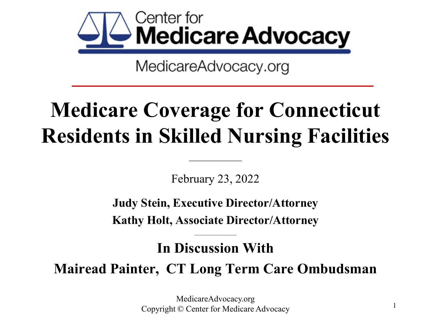

# **Medicare Coverage for Connecticut Residents in Skilled Nursing Facilities**

February 23, 2022

 $\overline{\mathcal{L}}$ 

**Judy Stein, Executive Director/Attorney**

**Kathy Holt, Associate Director/Attorney**  $\mathcal{L}_\text{max}$  , where  $\mathcal{L}_\text{max}$ 

**In Discussion With**

**Mairead Painter, CT Long Term Care Ombudsman**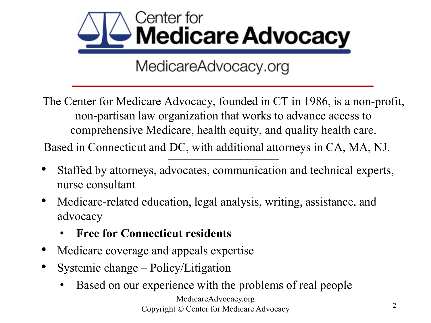

The Center for Medicare Advocacy, founded in CT in 1986, is a non-profit, non-partisan law organization that works to advance access to comprehensive Medicare, health equity, and quality health care. Based in Connecticut and DC, with additional attorneys in CA, MA, NJ.

**\_\_\_\_\_\_\_\_\_\_\_\_\_\_\_\_\_\_\_\_\_\_\_\_\_\_\_\_\_\_\_\_\_\_\_\_\_\_\_\_\_\_\_\_\_\_**

- Staffed by attorneys, advocates, communication and technical experts, nurse consultant
- Medicare-related education, legal analysis, writing, assistance, and advocacy
	- **Free for Connecticut residents**
- Medicare coverage and appeals expertise
- Systemic change Policy/Litigation
	- Based on our experience with the problems of real people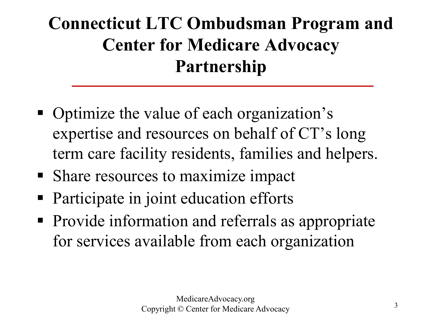### **Connecticut LTC Ombudsman Program and Center for Medicare Advocacy Partnership**

- Optimize the value of each organization's expertise and resources on behalf of CT's long term care facility residents, families and helpers.
- Share resources to maximize impact
- Participate in joint education efforts
- Provide information and referrals as appropriate for services available from each organization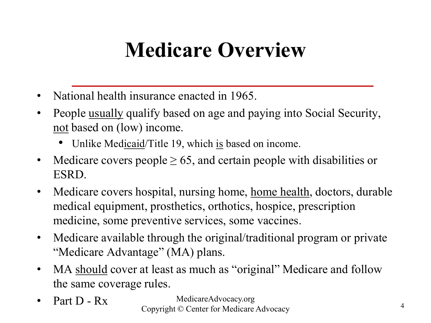# **Medicare Overview**

- National health insurance enacted in 1965.
- People usually qualify based on age and paying into Social Security, not based on (low) income.
	- Unlike Medicaid/Title 19, which is based on income.
- Medicare covers people  $\geq 65$ , and certain people with disabilities or ESRD.
- Medicare covers hospital, nursing home, home health, doctors, durable medical equipment, prosthetics, orthotics, hospice, prescription medicine, some preventive services, some vaccines.
- Medicare available through the original/traditional program or private "Medicare Advantage" (MA) plans.
- MA should cover at least as much as "original" Medicare and follow the same coverage rules.
- 

MedicareAdvocacy.org • Part D - Rx Medicare Advocacy.org<br>
Copyright © Center for Medicare Advocacy 4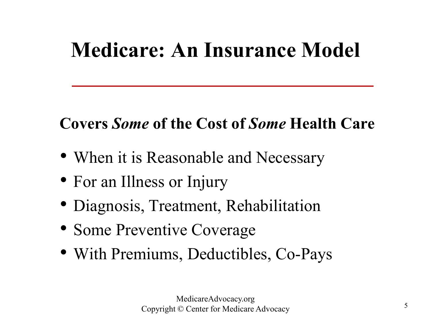## **Medicare: An Insurance Model**

### **Covers** *Some* **of the Cost of** *Some* **Health Care**

- When it is Reasonable and Necessary
- For an Illness or Injury
- Diagnosis, Treatment, Rehabilitation
- Some Preventive Coverage
- With Premiums, Deductibles, Co-Pays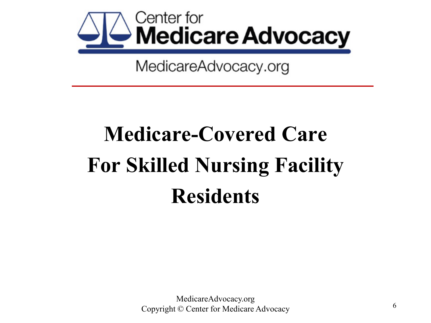

# **Medicare-Covered Care For Skilled Nursing Facility Residents**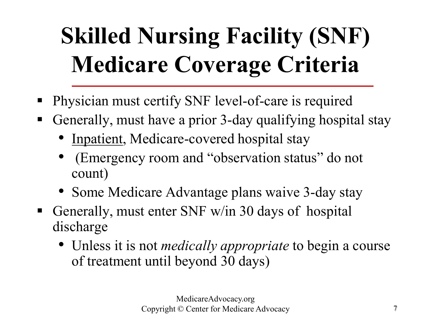# **Skilled Nursing Facility (SNF) Medicare Coverage Criteria**

- **Physician must certify SNF level-of-care is required**
- Generally, must have a prior 3-day qualifying hospital stay
	- Inpatient, Medicare-covered hospital stay
	- (Emergency room and "observation status" do not count)
	- Some Medicare Advantage plans waive 3-day stay
- Generally, must enter SNF w/in 30 days of hospital discharge
	- Unless it is not *medically appropriate* to begin a course of treatment until beyond 30 days)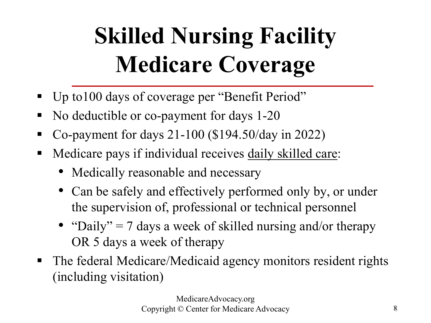# **Skilled Nursing Facility Medicare Coverage**

- Up to 100 days of coverage per "Benefit Period"
- No deductible or co-payment for days 1-20
- Co-payment for days  $21-100$  (\$194.50/day in 2022)
- Medicare pays if individual receives <u>daily skilled care</u>:
	- Medically reasonable and necessary
	- Can be safely and effectively performed only by, or under the supervision of, professional or technical personnel
	- "Daily" = 7 days a week of skilled nursing and/or therapy OR 5 days a week of therapy
- The federal Medicare/Medicaid agency monitors resident rights (including visitation)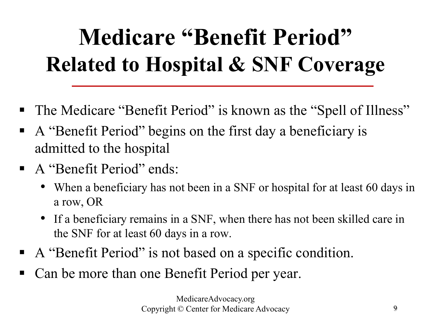# **Medicare "Benefit Period" Related to Hospital & SNF Coverage**

- The Medicare "Benefit Period" is known as the "Spell of Illness"
- A "Benefit Period" begins on the first day a beneficiary is admitted to the hospital
- A "Benefit Period" ends:
	- When a beneficiary has not been in a SNF or hospital for at least 60 days in a row, OR
	- If a beneficiary remains in a SNF, when there has not been skilled care in the SNF for at least 60 days in a row.
- A "Benefit Period" is not based on a specific condition.
- Can be more than one Benefit Period per year.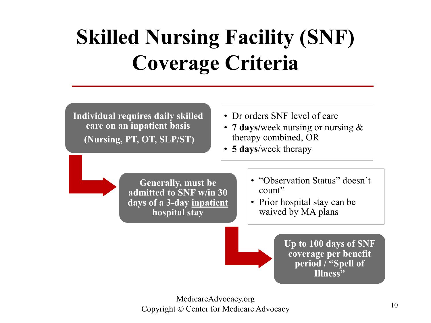# **Skilled Nursing Facility (SNF) Coverage Criteria**

**Individual requires daily skilled care on an inpatient basis (Nursing, PT, OT, SLP/ST)** 

- Dr orders SNF level of care
- **7 days/**week nursing or nursing & therapy combined, OR
- **5 days**/week therapy

**Generally, must be admitted to SNF w/in 30 days of a 3-day inpatient hospital stay**

- "Observation Status" doesn't count"
- Prior hospital stay can be waived by MA plans

**Up to 100 days of SNF coverage per benefit period / "Spell of Illness"**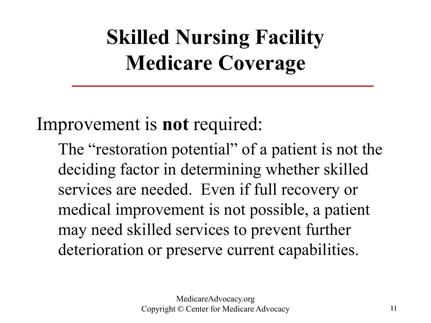# **Skilled Nursing Facility Medicare Coverage**

Improvement is **not** required:

The "restoration potential" of a patient is not the deciding factor in determining whether skilled services are needed. Even if full recovery or medical improvement is not possible, a patient may need skilled services to prevent further deterioration or preserve current capabilities.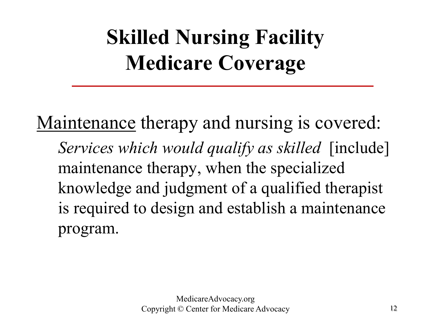# **Skilled Nursing Facility Medicare Coverage**

Maintenance therapy and nursing is covered: *Services which would qualify as skilled* [include] maintenance therapy, when the specialized knowledge and judgment of a qualified therapist is required to design and establish a maintenance program.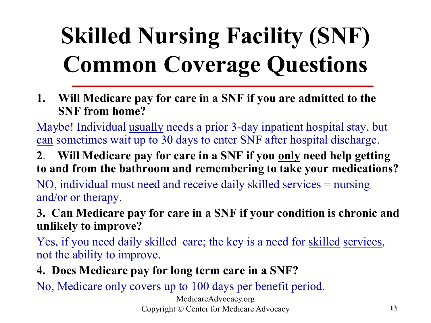# **Skilled Nursing Facility (SNF) Common Coverage Questions**

**1. Will Medicare pay for care in a SNF if you are admitted to the SNF from home?** 

Maybe! Individual usually needs a prior 3-day inpatient hospital stay, but can sometimes wait up to 30 days to enter SNF after hospital discharge.

**2**. **Will Medicare pay for care in a SNF if you only need help getting to and from the bathroom and remembering to take your medications?**

NO, individual must need and receive daily skilled services = nursing and/or or therapy.

**3. Can Medicare pay for care in a SNF if your condition is chronic and unlikely to improve?** 

Yes, if you need daily skilled care; the key is a need for skilled services, not the ability to improve.

**4. Does Medicare pay for long term care in a SNF?** 

No, Medicare only covers up to 100 days per benefit period.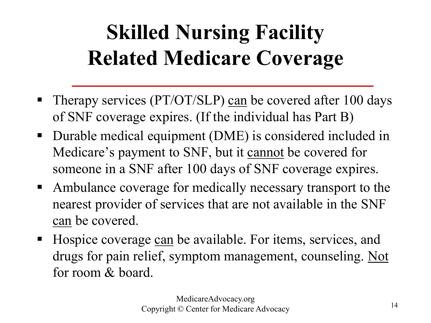# **Skilled Nursing Facility Related Medicare Coverage**

- Therapy services (PT/OT/SLP) can be covered after 100 days of SNF coverage expires. (If the individual has Part B)
- Durable medical equipment (DME) is considered included in Medicare's payment to SNF, but it cannot be covered for someone in a SNF after 100 days of SNF coverage expires.
- Ambulance coverage for medically necessary transport to the nearest provider of services that are not available in the SNF can be covered.
- Hospice coverage can be available. For items, services, and drugs for pain relief, symptom management, counseling. Not for room & board.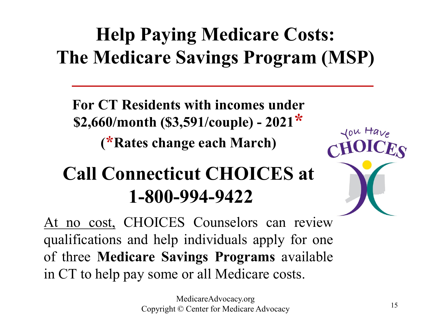# **Help Paying Medicare Costs: The Medicare Savings Program (MSP)**

**For CT Residents with incomes under \$2,660/month (\$3,591/couple) - 2021\* (\*Rates change each March)**

### **Call Connecticut CHOICES at 1-800-994-9422**

At no cost, CHOICES Counselors can review qualifications and help individuals apply for one of three **Medicare Savings Programs** available in CT to help pay some or all Medicare costs.

lou Have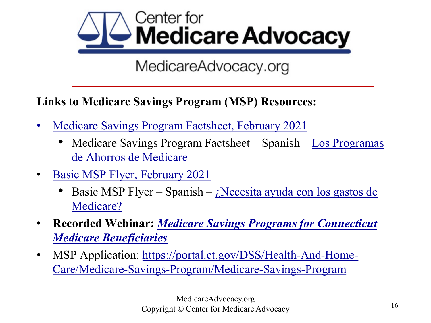

#### **Links to Medicare Savings Program (MSP) Resources:**

- [Medicare Savings Program Factsheet, February 2021](https://medicareadvocacy.org/wp-content/uploads/2021/02/2021-MSP-Factsheet.pdf)
	- [Medicare Savings Program Factsheet –](https://medicareadvocacy.org/wp-content/uploads/2021/06/2021-MSP-Factsheet-Spanish.pdf) Spanish Los Programas de Ahorros de Medicare
- [Basic MSP Flyer, February 2021](https://medicareadvocacy.org/wp-content/uploads/2021/02/MSP-graphic.pdf)
	- Basic MSP Flyer Spanish  $i$ Necesita ayuda con los gastos de Medicare?
- **Recorded Webinar:** *[Medicare Savings Programs for Connecticut](https://attendee.gotowebinar.com/recording/3214224739544891911)  Medicare Beneficiaries*
- MSP Application: https://portal.ct.gov/DSS/Health-And-Home-[Care/Medicare-Savings-Program/Medicare-Savings-Program](https://portal.ct.gov/DSS/Health-And-Home-Care/Medicare-Savings-Program/Medicare-Savings-Program)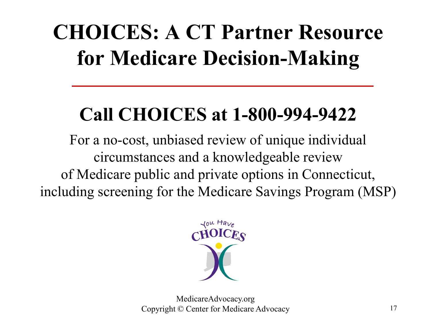# **CHOICES: A CT Partner Resource for Medicare Decision-Making**

## **Call CHOICES at 1-800-994-9422**

For a no-cost, unbiased review of unique individual circumstances and a knowledgeable review of Medicare public and private options in Connecticut, including screening for the Medicare Savings Program (MSP)

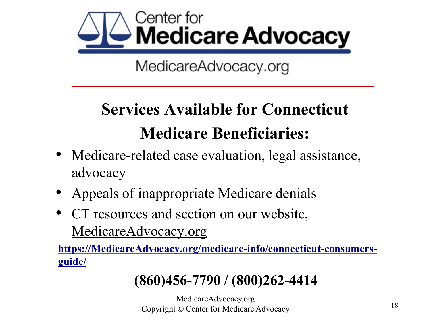

### **Services Available for Connecticut Medicare Beneficiaries:**

- Medicare-related case evaluation, legal assistance, advocacy
- Appeals of inappropriate Medicare denials
- CT resources and section on our website, [MedicareAdvocacy.org](http://www.medicareadvocacy.org/)

**[https://MedicareAdvocacy.org/medicare-info/connecticut-consumers](https://medicareadvocacy.org/medicare-info/connecticut-consumers-guide/)guide/**

#### **(860)456-7790 / (800)262-4414**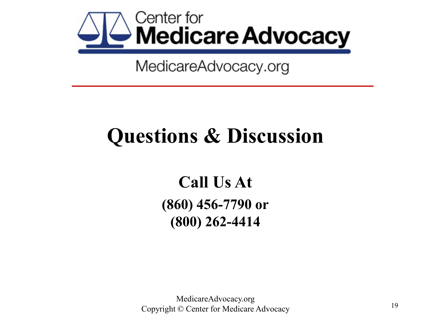

# **Questions & Discussion**

**Call Us At (860) 456-7790 or (800) 262-4414**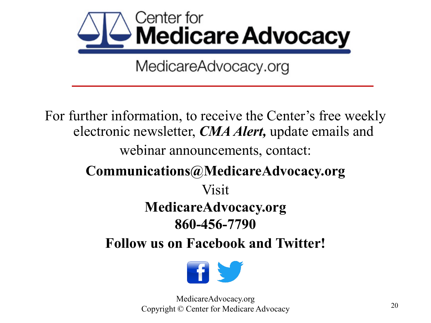

For further information, to receive the Center's free weekly electronic newsletter, *CMA Alert,* update emails and webinar announcements, contact: **Communications@MedicareAdvocacy.org** Visit **MedicareAdvocacy.org 860-456-7790 Follow us on Facebook and Twitter!**

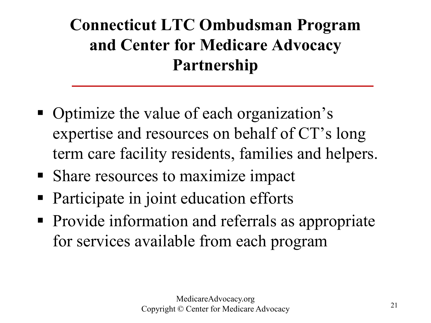### **Connecticut LTC Ombudsman Program and Center for Medicare Advocacy Partnership**

- Optimize the value of each organization's expertise and resources on behalf of CT's long term care facility residents, families and helpers.
- Share resources to maximize impact
- Participate in joint education efforts
- Provide information and referrals as appropriate for services available from each program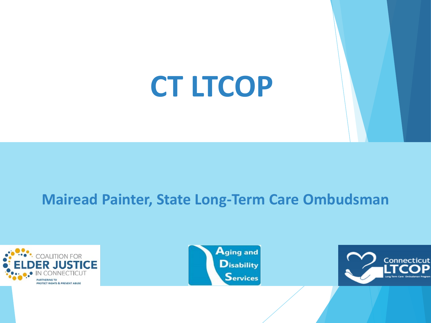# **CT LTCOP**

#### **Mairead Painter, State Long-Term Care Ombudsman**





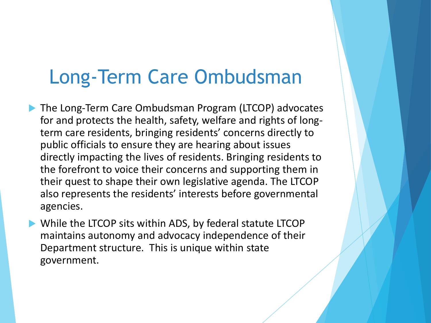### Long-Term Care Ombudsman

- ▶ The Long-Term Care Ombudsman Program (LTCOP) advocates for and protects the health, safety, welfare and rights of longterm care residents, bringing residents' concerns directly to public officials to ensure they are hearing about issues directly impacting the lives of residents. Bringing residents to the forefront to voice their concerns and supporting them in their quest to shape their own legislative agenda. The LTCOP also represents the residents' interests before governmental agencies.
- While the LTCOP sits within ADS, by federal statute LTCOP maintains autonomy and advocacy independence of their Department structure. This is unique within state government.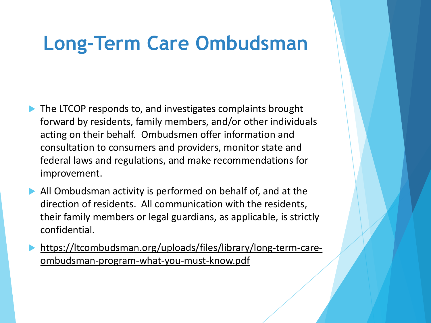### **Long-Term Care Ombudsman**

- The LTCOP responds to, and investigates complaints brought forward by residents, family members, and/or other individuals acting on their behalf. Ombudsmen offer information and consultation to consumers and providers, monitor state and federal laws and regulations, and make recommendations for improvement.
- All Ombudsman activity is performed on behalf of, and at the direction of residents. All communication with the residents, their family members or legal guardians, as applicable, is strictly confidential.
- [https://ltcombudsman.org/uploads/files/library/long-term-care](https://ltcombudsman.org/uploads/files/library/long-term-care-ombudsman-program-what-you-must-know.pdf)ombudsman-program-what-you-must-know.pdf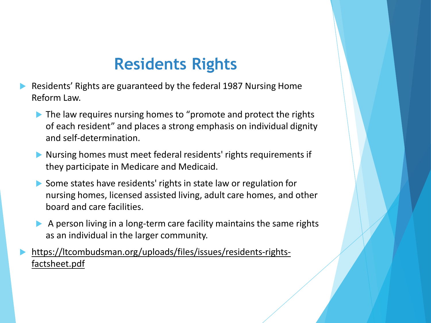### **Residents Rights**

- Residents' Rights are guaranteed by the federal 1987 Nursing Home Reform Law.
	- $\blacktriangleright$  The law requires nursing homes to "promote and protect the rights of each resident" and places a strong emphasis on individual dignity and self-determination.
	- Nursing homes must meet federal residents' rights requirements if they participate in Medicare and Medicaid.
	- Some states have residents' rights in state law or regulation for nursing homes, licensed assisted living, adult care homes, and other board and care facilities.
	- A person living in a long-term care facility maintains the same rights as an individual in the larger community.

 [https://ltcombudsman.org/uploads/files/issues/residents-rights](https://ltcombudsman.org/uploads/files/issues/residents-rights-factsheet.pdf)factsheet.pdf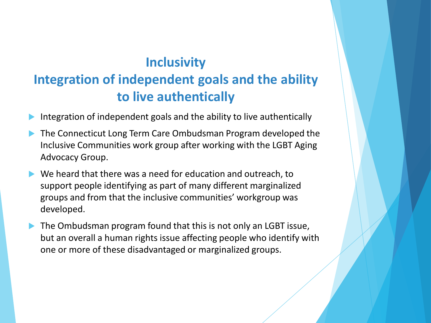#### **Inclusivity Integration of independent goals and the ability to live authentically**

- Integration of independent goals and the ability to live authentically
- The Connecticut Long Term Care Ombudsman Program developed the Inclusive Communities work group after working with the LGBT Aging Advocacy Group.
- We heard that there was a need for education and outreach, to support people identifying as part of many different marginalized groups and from that the inclusive communities' workgroup was developed.
- The Ombudsman program found that this is not only an LGBT issue, but an overall a human rights issue affecting people who identify with one or more of these disadvantaged or marginalized groups.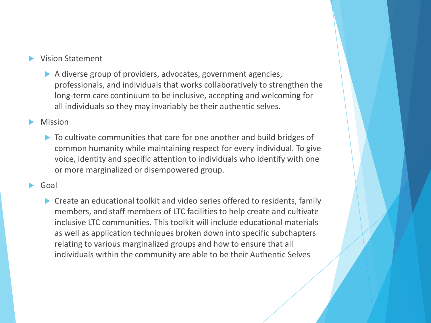#### Vision Statement

A diverse group of providers, advocates, government agencies, professionals, and individuals that works collaboratively to strengthen the long-term care continuum to be inclusive, accepting and welcoming for all individuals so they may invariably be their authentic selves.

#### Mission

▶ To cultivate communities that care for one another and build bridges of common humanity while maintaining respect for every individual. To give voice, identity and specific attention to individuals who identify with one or more marginalized or disempowered group.

#### Goal

▶ Create an educational toolkit and video series offered to residents, family members, and staff members of LTC facilities to help create and cultivate inclusive LTC communities. This toolkit will include educational materials as well as application techniques broken down into specific subchapters relating to various marginalized groups and how to ensure that all individuals within the community are able to be their Authentic Selves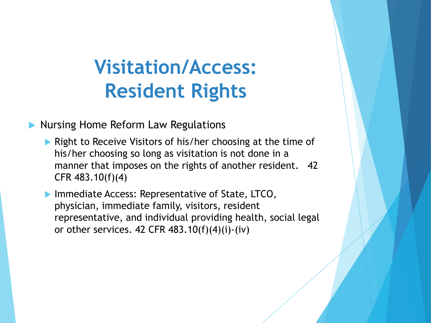### **Visitation/Access: Resident Rights**

Nursing Home Reform Law Regulations

**• Right to Receive Visitors of his/her choosing at the time of** his/her choosing so long as visitation is not done in a manner that imposes on the rights of another resident. 42 CFR 483.10(f)(4)

**Immediate Access: Representative of State, LTCO,** physician, immediate family, visitors, resident representative, and individual providing health, social legal or other services. 42 CFR  $483.10(f)(4)(i)$ -(iv)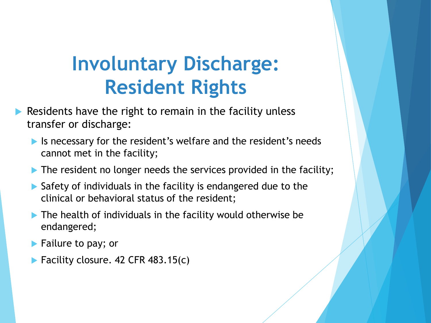### **Involuntary Discharge: Resident Rights**

- Residents have the right to remain in the facility unless transfer or discharge:
	- In Is necessary for the resident's welfare and the resident's needs cannot met in the facility;
	- $\triangleright$  The resident no longer needs the services provided in the facility;
	- ▶ Safety of individuals in the facility is endangered due to the clinical or behavioral status of the resident;
	- The health of individuals in the facility would otherwise be endangered;
	- **Failure to pay; or**
	- $\blacktriangleright$  Facility closure. 42 CFR 483.15(c)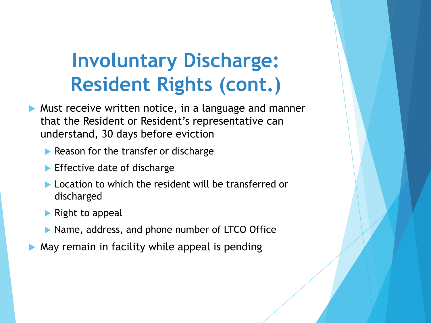## **Involuntary Discharge: Resident Rights (cont.)**

- Must receive written notice, in a language and manner that the Resident or Resident's representative can understand, 30 days before eviction
	- $\blacktriangleright$  Reason for the transfer or discharge
	- $\blacktriangleright$  Effective date of discharge
	- Location to which the resident will be transferred or discharged
	- $\blacktriangleright$  Right to appeal
	- ▶ Name, address, and phone number of LTCO Office
- May remain in facility while appeal is pending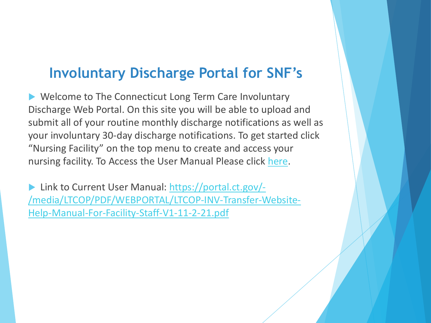#### **Involuntary Discharge Portal for SNF's**

▶ Welcome to The Connecticut Long Term Care Involuntary Discharge Web Portal. On this site you will be able to upload and submit all of your routine monthly discharge notifications as well as your involuntary 30-day discharge notifications. To get started click "Nursing Facility" on the top menu to create and access your nursing facility. To Access the User Manual Please click [here](https://portal.ct.gov/-/media/LTCOP/PDF/WEBPORTAL/LTCOP-INV-Transfer-Website-Help-Manual-For-Facility-Staff-V1-11-2-21.pdf).

 Link to Current User Manual: https://portal.ct.gov/- [/media/LTCOP/PDF/WEBPORTAL/LTCOP-INV-Transfer-Website-](https://portal.ct.gov/-/media/LTCOP/PDF/WEBPORTAL/LTCOP-INV-Transfer-Website-Help-Manual-For-Facility-Staff-V1-11-2-21.pdf)Help-Manual-For-Facility-Staff-V1-11-2-21.pdf